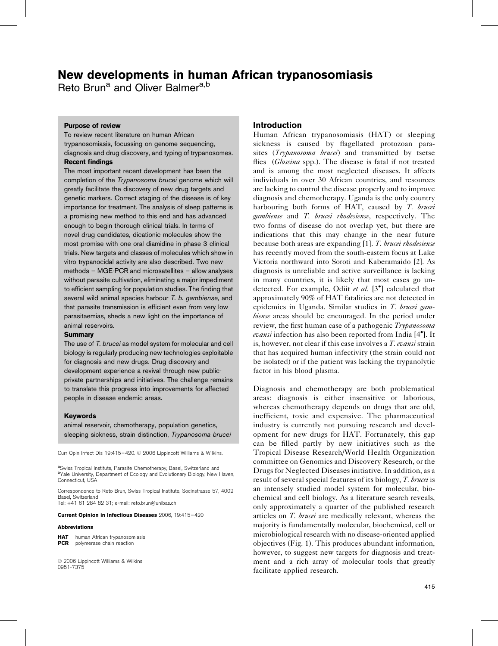# New developments in human African trypanosomiasis

Reto Brun<sup>a</sup> and Oliver Balmer<sup>a,b</sup>

#### Purpose of review

To review recent literature on human African trypanosomiasis, focussing on genome sequencing, diagnosis and drug discovery, and typing of trypanosomes. Recent findings

The most important recent development has been the completion of the Trypanosoma brucei genome which will greatly facilitate the discovery of new drug targets and genetic markers. Correct staging of the disease is of key importance for treatment. The analysis of sleep patterns is a promising new method to this end and has advanced enough to begin thorough clinical trials. In terms of novel drug candidates, dicationic molecules show the most promise with one oral diamidine in phase 3 clinical trials. New targets and classes of molecules which show in vitro trypanocidal activity are also described. Two new methods – MGE-PCR and microsatellites – allow analyses without parasite cultivation, eliminating a major impediment to efficient sampling for population studies. The finding that several wild animal species harbour T. b. gambiense, and that parasite transmission is efficient even from very low parasitaemias, sheds a new light on the importance of animal reservoirs.

#### **Summary**

The use of T. brucei as model system for molecular and cell biology is regularly producing new technologies exploitable for diagnosis and new drugs. Drug discovery and development experience a revival through new publicprivate partnerships and initiatives. The challenge remains to translate this progress into improvements for affected people in disease endemic areas.

#### Keywords

animal reservoir, chemotherapy, population genetics, sleeping sickness, strain distinction, Trypanosoma brucei

Curr Opin Infect Dis 19:415–420. 2006 Lippincott Williams & Wilkins.

<sup>a</sup>Swiss Tropical Institute, Parasite Chemotherapy, Basel, Switzerland and <sup>b</sup>Yale University, Department of Ecology and Evolutionary Biology, New Haven, Connecticut, USA

Correspondence to Reto Brun, Swiss Tropical Institute, Socinstrasse 57, 4002 Basel, Switzerland Tel: +41 61 284 82 31; e-mail: [reto.brun@unibas.ch](mailto:reto.brun@unibas.ch)

Current Opinion in Infectious Diseases 2006, 19:415–420

#### Abbreviations

**HAT** human African trypanosomiasis<br>**PCR** polymerase chain reaction polymerase chain reaction

 2006 Lippincott Williams & Wilkins 0951-7375

## Introduction

Human African trypanosomiasis (HAT) or sleeping sickness is caused by flagellated protozoan parasites (Trypanosoma brucei) and transmitted by tsetse flies (Glossina spp.). The disease is fatal if not treated and is among the most neglected diseases. It affects individuals in over 30 African countries, and resources are lacking to control the disease properly and to improve diagnosis and chemotherapy. Uganda is the only country harbouring both forms of HAT, caused by T. brucei gambiense and T. brucei rhodesiense, respectively. The two forms of disease do not overlap yet, but there are indications that this may change in the near future because both areas are expanding [\[1\]](#page-4-0). T. brucei rhodesiense has recently moved from the south-eastern focus at Lake Victoria northward into Soroti and Kaberamaido [\[2\]](#page-4-0). As diagnosis is unreliable and active surveillance is lacking in many countries, it is likely that most cases go un-detected. For example, Odiit et al. [\[3](#page-4-0)<sup>°</sup>[\]](#page-4-0) calculated that approximately 90% of HAT fatalities are not detected in epidemics in Uganda. Similar studies in T. brucei gambiense areas should be encouraged. In the period under review, the first human case of a pathogenic Trypanosoma evansi infection has also been reported from India [\[4](#page-4-0)<sup>°</sup>[\].](#page-4-0) It is, however, not clear if this case involves a T, evansi strain that has acquired human infectivity (the strain could not be isolated) or if the patient was lacking the trypanolytic factor in his blood plasma.

Diagnosis and chemotherapy are both problematical areas: diagnosis is either insensitive or laborious, whereas chemotherapy depends on drugs that are old, inefficient, toxic and expensive. The pharmaceutical industry is currently not pursuing research and development for new drugs for HAT. Fortunately, this gap can be filled partly by new initiatives such as the Tropical Disease Research/World Health Organization committee on Genomics and Discovery Research, or the Drugs for Neglected Diseases initiative. In addition, as a result of several special features of its biology, T. brucei is an intensely studied model system for molecular, biochemical and cell biology. As a literature search reveals, only approximately a quarter of the published research articles on T. brucei are medically relevant, whereas the majority is fundamentally molecular, biochemical, cell or microbiological research with no disease-oriented applied objectives [\(Fig. 1](#page-1-0)). This produces abundant information, however, to suggest new targets for diagnosis and treatment and a rich array of molecular tools that greatly facilitate applied research.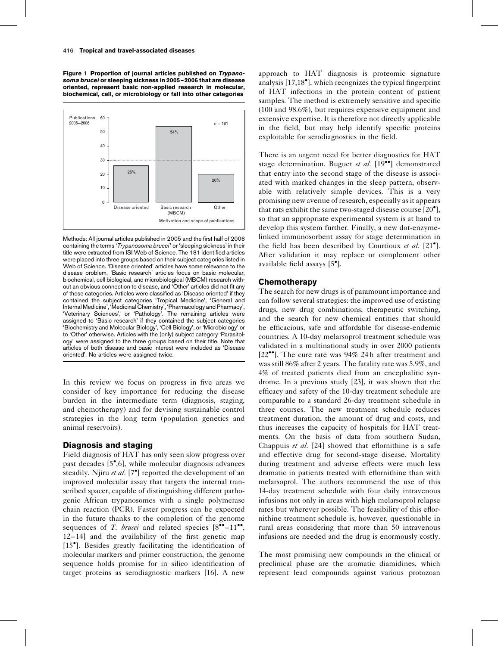<span id="page-1-0"></span>Figure 1 Proportion of journal articles published on Trypanosoma brucei or sleeping sickness in 2005–2006 that are disease oriented, represent basic non-applied research in molecular, biochemical, cell, or microbiology or fall into other categories



Methods: All journal articles published in 2005 and the first half of 2006 containing the terms 'Trypanosoma brucei' or 'sleeping sickness' in their title were extracted from ISI Web of Science. The 181 identified articles were placed into three groups based on their subject categories listed in Web of Science. 'Disease oriented' articles have some relevance to the disease problem, 'Basic research' articles focus on basic molecular, biochemical, cell biological, and microbiological (MBCM) research without an obvious connection to disease, and 'Other' articles did not fit any of these categories. Articles were classified as 'Disease oriented' if they contained the subject categories 'Tropical Medicine', 'General and Internal Medicine', 'Medicinal Chemistry', 'Pharmacology and Pharmacy', 'Veterinary Sciences', or 'Pathology'. The remaining articles were assigned to 'Basic research' if they contained the subject categories 'Biochemistry and Molecular Biology', 'Cell Biology', or 'Microbiology' or to 'Other' otherwise. Articles with the (only) subject category 'Parasitology' were assigned to the three groups based on their title. Note that articles of both disease and basic interest were included as 'Disease oriented'. No articles were assigned twice.

In this review we focus on progress in five areas we consider of key importance for reducing the disease burden in the intermediate term (diagnosis, staging, and chemotherapy) and for devising sustainable control strategies in the long term (population genetics and animal reservoirs).

## Diagnosis and staging

Field diagnosis of HAT has only seen slow progress over past decades [\[5](#page-4-0)<sup>\*</sup>[,6\],](#page-4-0) while molecular diagnosis advances steadily. Njiru *et al.* [\[7](#page-4-0) $\degree$ [\]](#page-4-0) reported the development of an improved molecular assay that targets the internal transcribed spacer, capable of distinguishing different pathogenic African trypanosomes with a single polymerase chain reaction (PCR). Faster progress can be expected in the future thanks to the completion of the genome sequences of T. brucei and related species  $[8\text{--}11\text{--}8\text{--}11\text{--}8\text{--}11\text{--}8\text{--}11\text{--}8\text{--}11\text{--}8\text{--}11\text{--}8\text{--}11\text{--}8\text{--}11\text{--}8\text{--}11\text{--}8\text{--}11\text{--}8\text{--}11\text{--}8\text{--}11\text{--}8\text{--}11\text{--}8\text{--}1$  $[8\text{--}11\text{--}8\text{--}11\text{--}8\text{--}11\text{--}8\text{--}11\text{--}8\text{--}11\text{--}8\text{--}11\text{--}8\text{--}11\text{--}8\text{--}11\text{--}8\text{--}11\text{--}8\text{--}11\text{--}8\text{--}11\text{--}8\text{--}11\text{--}8\text{--}11\text{--}8\text{--}1$ [12–14\]](#page-4-0) and the availability of the first genetic map [\[15](#page-4-0)<sup>°</sup>[\]](#page-4-0). Besides greatly facilitating the identification of molecular markers and primer construction, the genome sequence holds promise for in silico identification of target proteins as serodiagnostic markers [\[16\]](#page-4-0). A new approach to HAT diagnosis is proteomic signature analysis [\[17,18](#page-4-0) [\],](#page-4-0) which recognizes the typical fingerprint of HAT infections in the protein content of patient samples. The method is extremely sensitive and specific (100 and 98.6%), but requires expensive equipment and extensive expertise. It is therefore not directly applicable in the field, but may help identify specific proteins exploitable for serodiagnostics in the field.

There is an urgent need for better diagnostics for HAT stage determination. Buguet et al.  $[19\bullet\bullet]$  $[19\bullet\bullet]$  $[19\bullet\bullet]$  demonstrated that entry into the second stage of the disease is associated with marked changes in the sleep pattern, observable with relatively simple devices. This is a very promising new avenue of research, especially as it appears that rats exhibit the same two-staged disease course [\[20](#page-4-0) [\]](#page-4-0), so that an appropriate experimental system is at hand to develop this system further. Finally, a new dot-enzymelinked immunosorbent assay for stage determination in the field has been described by Courtioux et al.  $[21^{\bullet}]$  $[21^{\bullet}]$  $[21^{\bullet}]$ . After validation it may replace or complement other available field assays [\[5](#page-4-0) [\].](#page-4-0)

#### Chemotherapy

The search for new drugs is of paramount importance and can follow several strategies: the improved use of existing drugs, new drug combinations, therapeutic switching, and the search for new chemical entities that should be efficacious, safe and affordable for disease-endemic countries. A 10-day melarsoprol treatment schedule was validated in a multinational study in over 2000 patients  $[22^{\bullet\bullet}]$  $[22^{\bullet\bullet}]$ . The cure rate was 94% 24 h after treatment and was still 86% after 2 years. The fatality rate was 5.9%, and 4% of treated patients died from an encephalitic syndrome. In a previous study [\[23\]](#page-5-0), it was shown that the efficacy and safety of the 10-day treatment schedule are comparable to a standard 26-day treatment schedule in three courses. The new treatment schedule reduces treatment duration, the amount of drug and costs, and thus increases the capacity of hospitals for HAT treatments. On the basis of data from southern Sudan, Chappuis et al. [\[24\]](#page-5-0) showed that eflornithine is a safe and effective drug for second-stage disease. Mortality during treatment and adverse effects were much less dramatic in patients treated with eflornithine than with melarsoprol. The authors recommend the use of this 14-day treatment schedule with four daily intravenous infusions not only in areas with high melarsoprol relapse rates but wherever possible. The feasibility of this eflornithine treatment schedule is, however, questionable in rural areas considering that more than 50 intravenous infusions are needed and the drug is enormously costly.

The most promising new compounds in the clinical or preclinical phase are the aromatic diamidines, which represent lead compounds against various protozoan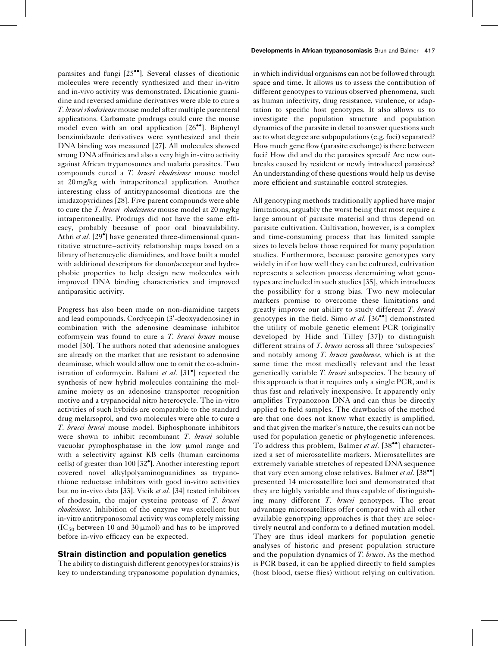parasites and fungi  $[25\bullet]$  $[25\bullet]$ . Several classes of dicationic molecules were recently synthesized and their in-vitro and in-vivo activity was demonstrated. Dicationic guanidine and reversed amidine derivatives were able to cure a T. brucei rhodesiense mouse model after multiple parenteral applications. Carbamate prodrugs could cure the mouse model even with an oral application  $[26^{\bullet\bullet}]$  $[26^{\bullet\bullet}]$ . Biphenyl benzimidazole derivatives were synthesized and their DNA binding was measured [\[27\].](#page-5-0) All molecules showed strong DNA affinities and also a very high in-vitro activity against African trypanosomes and malaria parasites. Two compounds cured a T. brucei rhodesiense mouse model at 20 mg/kg with intraperitoneal application. Another interesting class of antitrypanosomal dications are the imidazopyridines [\[28\]](#page-5-0). Five parent compounds were able to cure the *T. brucei rhodesiense* mouse model at 20 mg/kg intraperitoneally. Prodrugs did not have the same efficacy, probably because of poor oral bioavailability. Athri et al. [\[29](#page-5-0)<sup>°</sup>[\]](#page-5-0) have generated three-dimensional quantitative structure–activity relationship maps based on a library of heterocyclic diamidines, and have built a model with additional descriptors for donor/acceptor and hydrophobic properties to help design new molecules with improved DNA binding characteristics and improved antiparasitic activity.

Progress has also been made on non-diamidine targets and lead compounds. Cordycepin (3'-deoxyadenosine) in combination with the adenosine deaminase inhibitor coformycin was found to cure a T. brucei brucei mouse model [\[30\].](#page-5-0) The authors noted that adenosine analogues are already on the market that are resistant to adenosine deaminase, which would allow one to omit the co-admin-istration of coformycin. Baliani et al. [\[31](#page-5-0)<sup>°</sup>[\]](#page-5-0) reported the synthesis of new hybrid molecules containing the melamine moiety as an adenosine transporter recognition motive and a trypanocidal nitro heterocycle. The in-vitro activities of such hybrids are comparable to the standard drug melarsoprol, and two molecules were able to cure a T. brucei brucei mouse model. Biphosphonate inhibitors were shown to inhibit recombinant T. brucei soluble vacuolar pyrophosphatase in the low umol range and with a selectivity against KB cells (human carcinoma cells) of greater than 100 [\[32](#page-5-0) [\].](#page-5-0) Another interesting report covered novel alkylpolyaminoguanidines as trypanothione reductase inhibitors with good in-vitro activities but no in-vivo data [\[33\].](#page-5-0) Vicik et al. [\[34\]](#page-5-0) tested inhibitors of rhodesain, the major cysteine protease of T. brucei rhodesiense. Inhibition of the enzyme was excellent but in-vitro antitrypanosomal activity was completely missing  $(IC_{50}$  between 10 and 30 µmol) and has to be improved before in-vivo efficacy can be expected.

#### Strain distinction and population genetics

The ability to distinguish different genotypes (or strains) is key to understanding trypanosome population dynamics, in which individual organisms can not be followed through space and time. It allows us to assess the contribution of different genotypes to various observed phenomena, such as human infectivity, drug resistance, virulence, or adaptation to specific host genotypes. It also allows us to investigate the population structure and population dynamics of the parasite in detail to answer questions such as: to what degree are subpopulations (e.g. foci) separated? How much gene flow (parasite exchange) is there between foci? How did and do the parasites spread? Are new outbreaks caused by resident or newly introduced parasites? An understanding of these questions would help us devise more efficient and sustainable control strategies.

All genotyping methods traditionally applied have major limitations, arguably the worst being that most require a large amount of parasite material and thus depend on parasite cultivation. Cultivation, however, is a complex and time-consuming process that has limited sample sizes to levels below those required for many population studies. Furthermore, because parasite genotypes vary widely in if or how well they can be cultured, cultivation represents a selection process determining what genotypes are included in such studies [\[35\]](#page-5-0), which introduces the possibility for a strong bias. Two new molecular markers promise to overcome these limitations and greatly improve our ability to study different T. brucei genotypes in the field. Simo et al. [\[36](#page-5-0)<sup>••</sup>[\]](#page-5-0) demonstrated the utility of mobile genetic element PCR (originally developed by Hide and Tilley [\[37\]](#page-5-0)) to distinguish different strains of T. brucei across all three 'subspecies' and notably among T. brucei gambiense, which is at the same time the most medically relevant and the least genetically variable T. brucei subspecies. The beauty of this approach is that it requires only a single PCR, and is thus fast and relatively inexpensive. It apparently only amplifies Trypanozoon DNA and can thus be directly applied to field samples. The drawbacks of the method are that one does not know what exactly is amplified, and that given the marker's nature, the results can not be used for population genetic or phylogenetic inferences. To address this problem, Balmer et al. [\[38](#page-5-0)<sup>••</sup>[\]](#page-5-0) characterized a set of microsatellite markers. Microsatellites are extremely variable stretches of repeated DNA sequence that vary even among close relatives. Balmer *et al.* [\[38](#page-5-0)<sup> $\bullet$ </sup>[\]](#page-5-0) presented 14 microsatellite loci and demonstrated that they are highly variable and thus capable of distinguishing many different T. brucei genotypes. The great advantage microsatellites offer compared with all other available genotyping approaches is that they are selectively neutral and conform to a defined mutation model. They are thus ideal markers for population genetic analyses of historic and present population structure and the population dynamics of T. brucei. As the method is PCR based, it can be applied directly to field samples (host blood, tsetse flies) without relying on cultivation.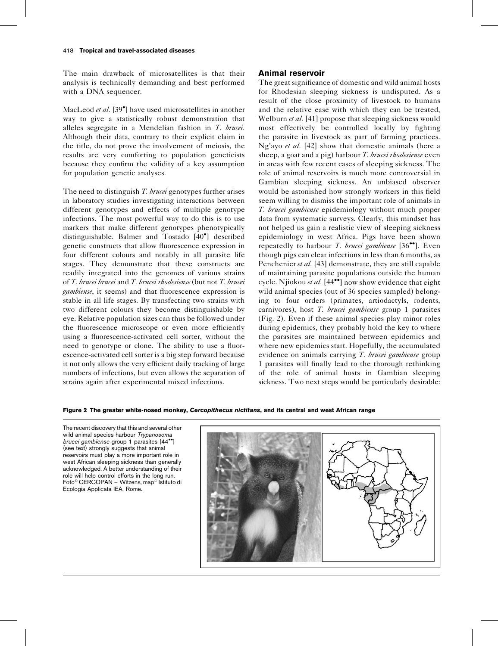The main drawback of microsatellites is that their analysis is technically demanding and best performed with a DNA sequencer.

MacLeod et al. [\[39](#page-5-0)<sup>•</sup>[\]](#page-5-0) have used microsatellites in another way to give a statistically robust demonstration that alleles segregate in a Mendelian fashion in T. brucei. Although their data, contrary to their explicit claim in the title, do not prove the involvement of meiosis, the results are very comforting to population geneticists because they confirm the validity of a key assumption for population genetic analyses.

The need to distinguish T. brucei genotypes further arises in laboratory studies investigating interactions between different genotypes and effects of multiple genotype infections. The most powerful way to do this is to use markers that make different genotypes phenotypically distinguishable. Balmer and Tostado [\[40](#page-5-0) [\]](#page-5-0) described genetic constructs that allow fluorescence expression in four different colours and notably in all parasite life stages. They demonstrate that these constructs are readily integrated into the genomes of various strains of T. brucei brucei and T. brucei rhodesiense (but not T. brucei gambiense, it seems) and that fluorescence expression is stable in all life stages. By transfecting two strains with two different colours they become distinguishable by eye. Relative population sizes can thus be followed under the fluorescence microscope or even more efficiently using a fluorescence-activated cell sorter, without the need to genotype or clone. The ability to use a fluorescence-activated cell sorter is a big step forward because it not only allows the very efficient daily tracking of large numbers of infections, but even allows the separation of strains again after experimental mixed infections.

## Animal reservoir

The great significance of domestic and wild animal hosts for Rhodesian sleeping sickness is undisputed. As a result of the close proximity of livestock to humans and the relative ease with which they can be treated, Welburn *et al.* [\[41\]](#page-5-0) propose that sleeping sickness would most effectively be controlled locally by fighting the parasite in livestock as part of farming practices. Ng'ayo et al. [\[42\]](#page-5-0) show that domestic animals (here a sheep, a goat and a pig) harbour  $T$ . *brucei rhodesiense* even in areas with few recent cases of sleeping sickness. The role of animal reservoirs is much more controversial in Gambian sleeping sickness. An unbiased observer would be astonished how strongly workers in this field seem willing to dismiss the important role of animals in T. brucei gambiense epidemiology without much proper data from systematic surveys. Clearly, this mindset has not helped us gain a realistic view of sleeping sickness epidemiology in west Africa. Pigs have been shown repeatedly to harbour T. brucei gambiense  $[36\text{°}$  $[36\text{°}$ . Even though pigs can clear infections in less than 6 months, as Penchenier et al. [\[43\]](#page-5-0) demonstrate, they are still capable of maintaining parasite populations outside the human cycle. Njiokou et al. [\[44](#page-5-0)<sup>\*\*</sup>[\]](#page-5-0) now show evidence that eight wild animal species (out of 36 species sampled) belonging to four orders (primates, artiodactyls, rodents, carnivores), host T. brucei gambiense group 1 parasites (Fig. 2). Even if these animal species play minor roles during epidemics, they probably hold the key to where the parasites are maintained between epidemics and where new epidemics start. Hopefully, the accumulated evidence on animals carrying T. brucei gambiense group 1 parasites will finally lead to the thorough rethinking of the role of animal hosts in Gambian sleeping sickness. Two next steps would be particularly desirable:

#### Figure 2 The greater white-nosed monkey, Cercopithecus nictitans, and its central and west African range

The recent discovery that this and several other wild animal species harbour Trypanosoma brucei gambiense group 1 parasites [\[44](#page-5-0)\*\*[\]](#page-5-0) (see text) strongly suggests that animal reservoirs must play a more important role in west African sleeping sickness than generally acknowledged. A better understanding of their role will help control efforts in the long run. Foto<sup>©</sup> CERCOPAN – Witzens, map<sup>©</sup> Istituto di Ecologia Applicata IEA, Rome.

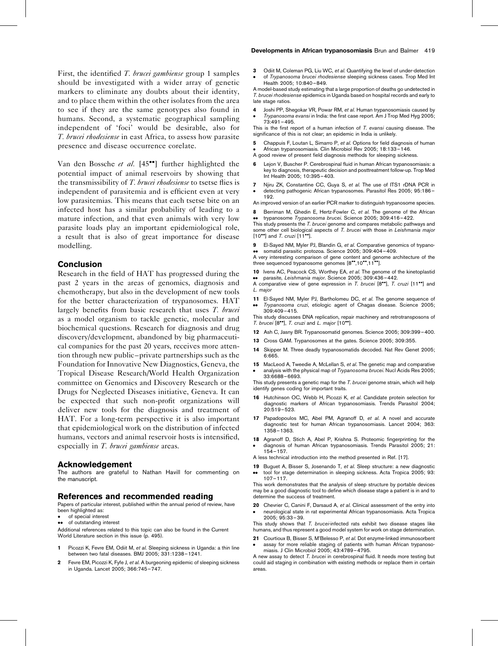<span id="page-4-0"></span>First, the identified T. brucei gambiense group 1 samples should be investigated with a wider array of genetic markers to eliminate any doubts about their identity, and to place them within the other isolates from the area to see if they are the same genotypes also found in humans. Second, a systematic geographical sampling independent of 'foci' would be desirable, also for T. brucei rhodesiense in east Africa, to assess how parasite presence and disease occurrence corelate.

Van den Bossche et al.  $[45^{\bullet\bullet}]$  $[45^{\bullet\bullet}]$  $[45^{\bullet\bullet}]$  further highlighted the potential impact of animal reservoirs by showing that the transmissibility of T. brucei rhodesiense to tsetse flies is independent of parasitemia and is efficient even at very low parasitemias. This means that each tsetse bite on an infected host has a similar probability of leading to a mature infection, and that even animals with very low parasite loads play an important epidemiological role, a result that is also of great importance for disease modelling.

## Conclusion

Research in the field of HAT has progressed during the past 2 years in the areas of genomics, diagnosis and chemotherapy, but also in the development of new tools for the better characterization of trypanosomes. HAT largely benefits from basic research that uses T. brucei as a model organism to tackle genetic, molecular and biochemical questions. Research for diagnosis and drug discovery/development, abandoned by big pharmaceutical companies for the past 20 years, receives more attention through new public–private partnerships such as the Foundation for Innovative New Diagnostics, Geneva, the Tropical Disease Research/World Health Organization committee on Genomics and Discovery Research or the Drugs for Neglected Diseases initiative, Geneva. It can be expected that such non-profit organizations will deliver new tools for the diagnosis and treatment of HAT. For a long-term perspective it is also important that epidemiological work on the distribution of infected humans, vectors and animal reservoir hosts is intensified, especially in T. brucei gambiense areas.

#### Acknowledgement

The authors are grateful to Nathan Havill for commenting on the manuscript.

#### References and recommended reading

Papers of particular interest, published within the annual period of review, have been highlighted as: of special interest

of outstanding interest

Additional references related to this topic can also be found in the Current World Literature section in this issue (p. 495).

- 1 Picozzi K, Fevre EM, Odiit M, et al. Sleeping sickness in Uganda: a thin line between two fatal diseases. BMJ 2005; 331:1238–1241.
- 2 Fevre EM, Picozzi K, Fyfe J, et al. A burgeoning epidemic of sleeping sickness in Uganda. Lancet 2005; 366:745–747.

3  $\bullet$ Odiit M, Coleman PG, Liu WC, et al. Quantifying the level of under-detection of Trypanosoma brucei rhodesiense sleeping sickness cases. Trop Med Int Health 2005; 10:840–849.

A model-based study estimating that a large proportion of deaths go undetected in T. brucei rhodesiense epidemics in Uganda based on hospital records and early to late stage ratios

- 4 Joshi PP, Shegokar VR, Powar RM, et al. Human trypanosomiasis caused by
- $\bullet$ Trypanosoma evansi in India: the first case report. Am J Trop Med Hyg 2005; 73:491–495.

This is the first report of a human infection of T. evansi causing disease. The significance of this is not clear; an epidemic in India is unlikely.

- 5  $\bullet$ Chappuis F, Loutan L, Simarro P, et al. Options for field diagnosis of human African trypanosomiasis. Clin Microbiol Rev 2005; 18:133–146.
- A good review of present field diagnosis methods for sleeping sickness.
- 6 Lejon V, Buscher P. Cerebrospinal fluid in human African trypanosomiasis: a key to diagnosis, therapeutic decision and posttreatment follow-up. Trop Med Int Health 2005; 10:395–403.
- 7 Njiru ZK, Constantine CC, Guya S, et al. The use of ITS1 rDNA PCR in
- $\bullet$ detecting pathogenic African trypanosomes. Parasitol Res 2005; 95:186– 192.

An improved version of an earlier PCR marker to distinguish trypanosome species.

8 .. Berriman M, Ghedin E, Hertz-Fowler C, et al. The genome of the African trypanosome Trypanosoma brucei. Science 2005; 309:416–422.

This study presents the T. brucei genome and compares metabolic pathways and some other cell biological aspects of T. brucei with those in Leishmania major  $[10^{\bullet\bullet}]$  and T. cruzi  $[11^{\bullet\bullet}]$ .

9 El-Sayed NM, Myler PJ, Blandin G, et al. Comparative genomics of trypanosomatid parasitic protozoa. Science 2005; 309:404–409.

• somatid parasitic protozoa. Science 2005; 309:404-409.<br>A very interesting comparison of gene content and genome architecture of the<br>three sequenced trypanosome genomes [8\*\*,10\*\*,11\*\*].

- 10 Ivens AC, Peacock CS, Worthey EA, et al. The genome of the kinetoplastid parasite, Leishmania major. Science 2005; 309:436–442.
- A comparative view of gene expression in T. brucei  $[8^{\bullet\bullet}],$  T. cruzi  $[11^{\bullet\bullet}]$  and L. major
- 11 El-Sayed NM, Myler PJ, Bartholomeu DC, et al. The genome sequence of .. Trypanosoma cruzi, etiologic agent of Chagas disease. Science 2005; 309:409–415.

This study discusses DNA replication, repair machinery and retrotransposons of T. brucei  $[8^{\bullet\bullet}]$ , T. cruzi and L. major  $[10^{\bullet\bullet}]$ .

- 12 Ash C, Jasny BR. Trypanosomatid genomes. Science 2005; 309:399–400.
- 13 Cross GAM. Trypanosomes at the gates. Science 2005; 309:355.
- 14 Skipper M. Three deadly trypanosomatids decoded. Nat Rev Genet 2005; 6:665.
- 15 MacLeod A, Tweedie A, McLellan S, et al. The genetic map and comparative  $\bullet$ analysis with the physical map of Trypanosoma brucei. Nucl Acids Res 2005; 33:6688–6693.

This study presents a genetic map for the T. brucei genome strain, which will help identify genes coding for important traits.

- 16 Hutchinson OC, Webb H, Picozzi K, et al. Candidate protein selection for diagnostic markers of African trypanosomiasis. Trends Parasitol 2004; 20:519–523.
- 17 Papadopoulos MC, Abel PM, Agranoff D, et al. A novel and accurate diagnostic test for human African trypanosomiasis. Lancet 2004; 363: 1358–1363.
- 18 Agranoff D, Stich A, Abel P, Krishna S. Proteomic fingerprinting for the  $\bullet$ diagnosis of human African trypanosomiasis. Trends Parasitol 2005; 21: 154–157.
- A less technical introduction into the method presented in Ref. [17].
- 19 Buguet A, Bisser S, Josenando T, et al. Sleep structure: a new diagnostic  $\bullet\bullet$ tool for stage determination in sleeping sickness. Acta Tropica 2005; 93: 107–117.

This work demonstrates that the analysis of sleep structure by portable devices may be a good diagnostic tool to define which disease stage a patient is in and to determine the success of treatment.

20 Chevrier C, Canini F, Darsaud A, et al. Clinical assessment of the entry into  $\bullet$ neurological state in rat experimental African trypanosomiasis. Acta Tropica 2005; 95:33–39.

This study shows that T. bruce infected rats exhibit two disease stages like humans, and thus represent a good model system for work on stage determination.

21 Courtioux B, Bisser S, M'Belesso P, et al. Dot enzyme-linked immunosorbent  $\bullet$ assay for more reliable staging of patients with human African trypanosomiasis. J Clin Microbiol 2005; 43:4789–4795.

A new assay to detect T. brucei in cerebrospinal fluid. It needs more testing but could aid staging in combination with existing methods or replace them in certain areas.